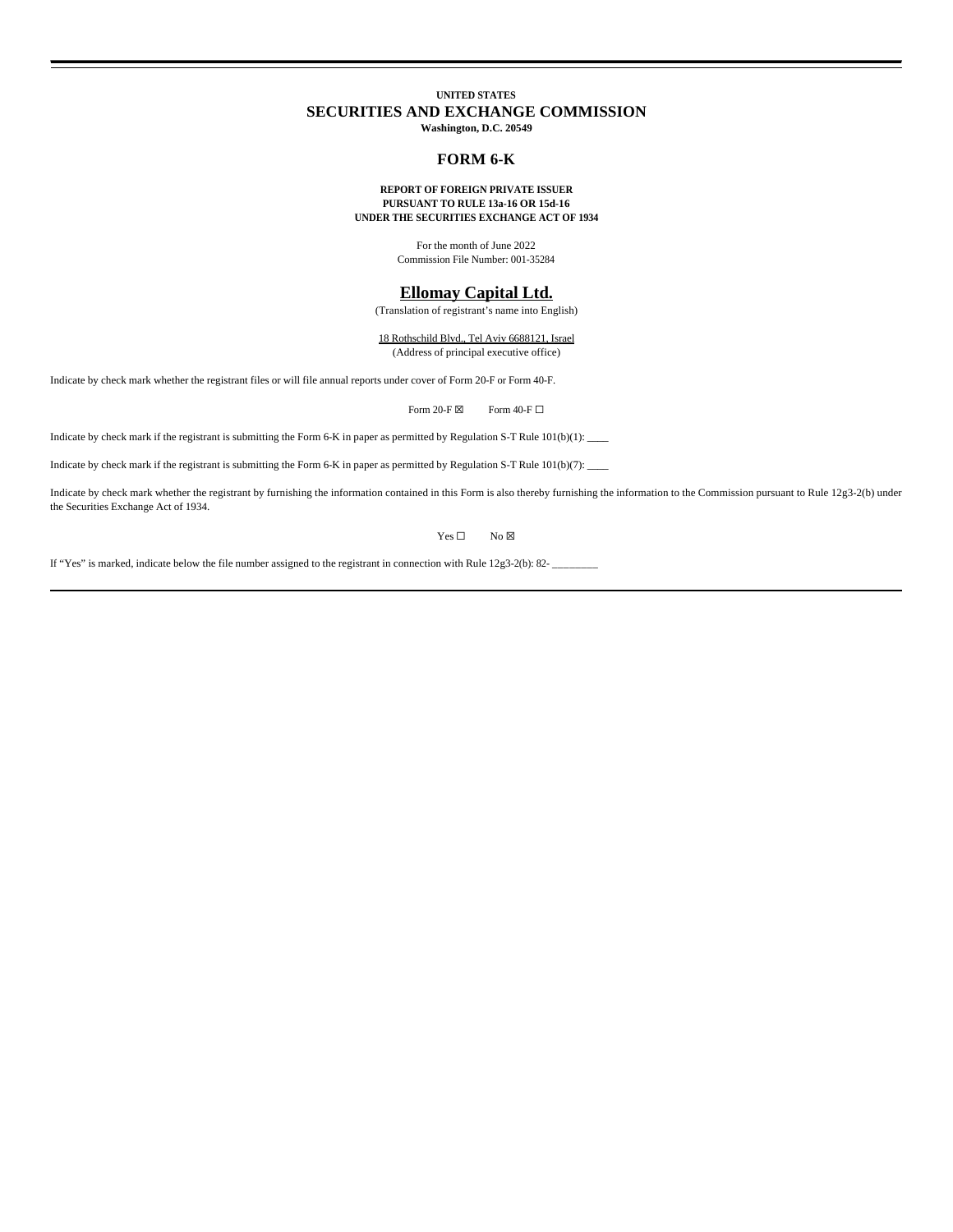# **UNITED STATES SECURITIES AND EXCHANGE COMMISSION**

**Washington, D.C. 20549**

## **FORM 6-K**

### **REPORT OF FOREIGN PRIVATE ISSUER PURSUANT TO RULE 13a-16 OR 15d-16 UNDER THE SECURITIES EXCHANGE ACT OF 1934**

For the month of June 2022 Commission File Number: 001-35284

## **Ellomay Capital Ltd.**

(Translation of registrant's name into English)

18 Rothschild Blvd., Tel Aviv 6688121, Israel (Address of principal executive office)

Indicate by check mark whether the registrant files or will file annual reports under cover of Form 20-F or Form 40-F.

Form 20-F  $\boxtimes$  Form 40-F  $\Box$ 

Indicate by check mark if the registrant is submitting the Form 6-K in paper as permitted by Regulation S-T Rule 101(b)(1): \_\_\_\_

Indicate by check mark if the registrant is submitting the Form 6-K in paper as permitted by Regulation S-T Rule 101(b)(7): \_\_\_\_

Indicate by check mark whether the registrant by furnishing the information contained in this Form is also thereby furnishing the information to the Commission pursuant to Rule 12g3-2(b) under the Securities Exchange Act of 1934.

 $Yes \Box$  No  $\boxtimes$ 

If "Yes" is marked, indicate below the file number assigned to the registrant in connection with Rule 12g3-2(b): 82- \_\_\_\_\_\_\_\_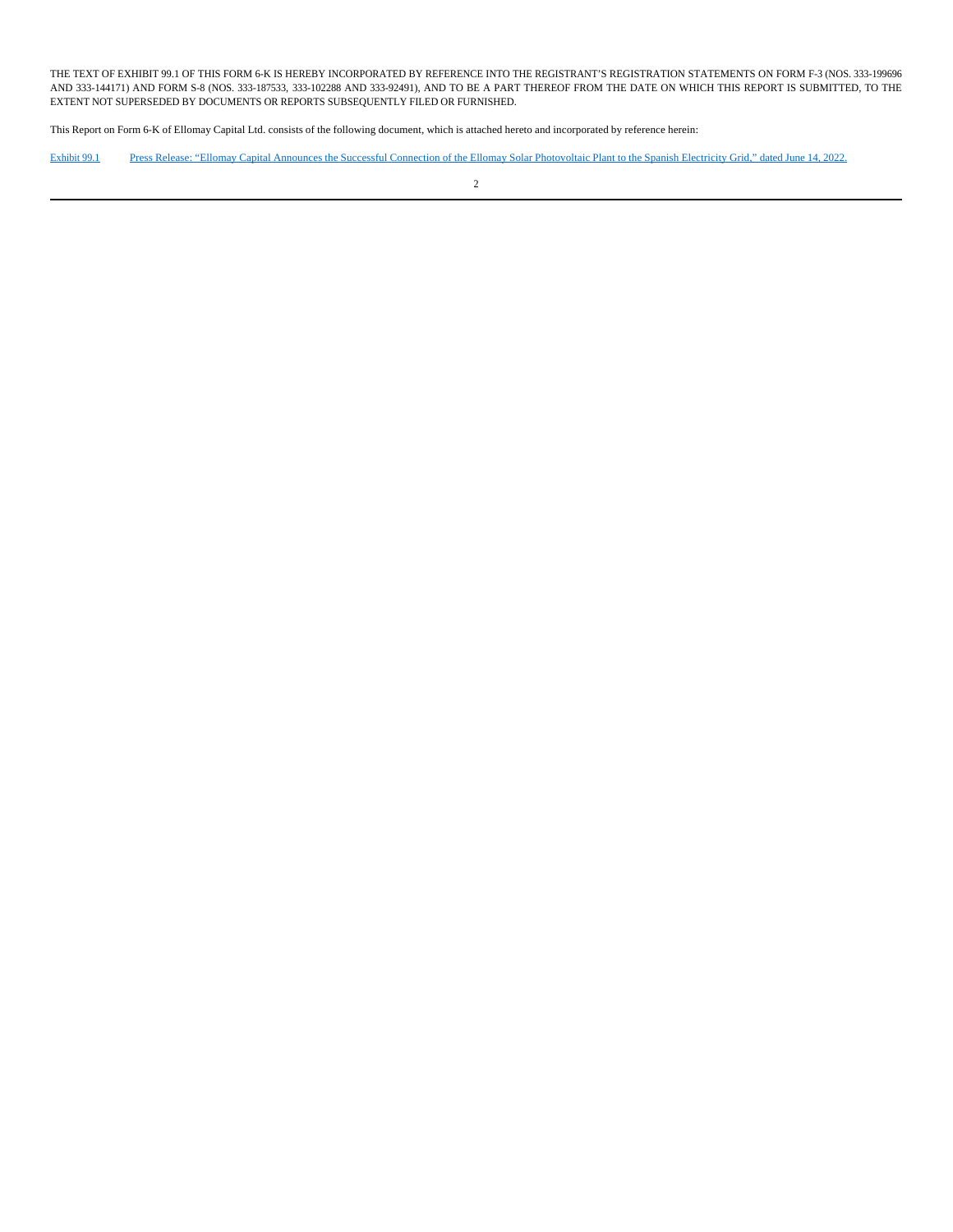THE TEXT OF EXHIBIT 99.1 OF THIS FORM 6-K IS HEREBY INCORPORATED BY REFERENCE INTO THE REGISTRANT'S REGISTRATION STATEMENTS ON FORM F-3 (NOS. 333-199696 AND 333-144171) AND FORM S-8 (NOS. 333-187533, 333-102288 AND 333-92491), AND TO BE A PART THEREOF FROM THE DATE ON WHICH THIS REPORT IS SUBMITTED, TO THE EXTENT NOT SUPERSEDED BY DOCUMENTS OR REPORTS SUBSEQUENTLY FILED OR FURNISHED.

This Report on Form 6-K of Ellomay Capital Ltd. consists of the following document, which is attached hereto and incorporated by reference herein:

Exhibit 99.1 Press Release: "Ellomay Capital Announces the Successful Connection of the Ellomay Solar Photovoltaic Plant to the Spanish Electricity Grid," dated June 14, 2022.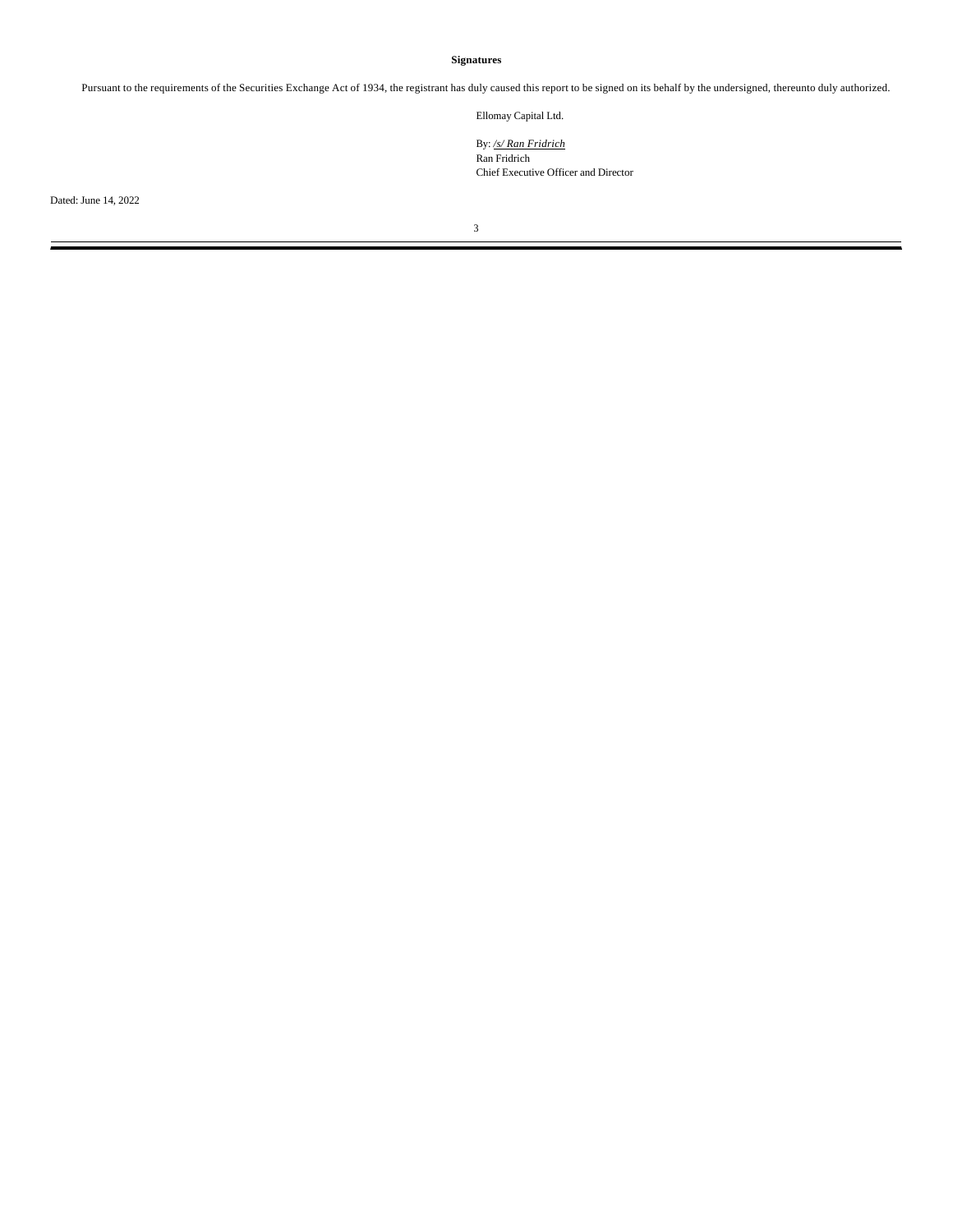# **Signatures**

Pursuant to the requirements of the Securities Exchange Act of 1934, the registrant has duly caused this report to be signed on its behalf by the undersigned, thereunto duly authorized.

Ellomay Capital Ltd.

By: */s/ Ran Fridrich* Ran Fridrich Chief Executive Officer and Director

Dated: June 14, 2022